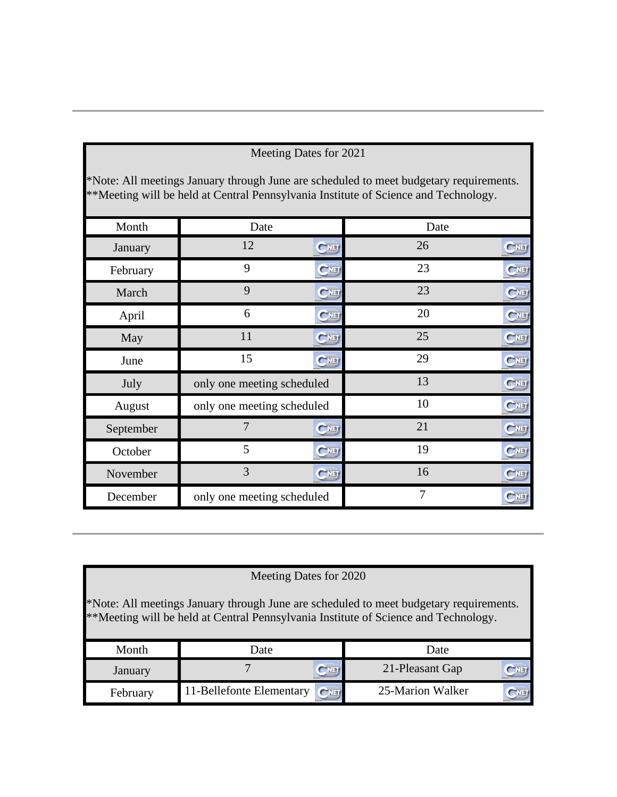| *Note: All meetings January through June are scheduled to meet budgetary requirements.<br>**Meeting will be held at Central Pennsylvania Institute of Science and Technology. |                            |              |      |         |  |
|-------------------------------------------------------------------------------------------------------------------------------------------------------------------------------|----------------------------|--------------|------|---------|--|
| Month                                                                                                                                                                         | Date                       |              | Date |         |  |
| January                                                                                                                                                                       | 12                         | $C_{\rm NH}$ | 26   | CNET    |  |
| February                                                                                                                                                                      | 9                          | CNET         | 23   | CNET    |  |
| March                                                                                                                                                                         | 9                          | CNET         | 23   | CNET    |  |
| April                                                                                                                                                                         | 6                          | $C^{n+j}$    | 20   | CNET    |  |
| May                                                                                                                                                                           | 11                         | $C^{N-1}$    | 25   | CNET    |  |
| June                                                                                                                                                                          | 15                         | CNET         | 29   | CNET    |  |
| July                                                                                                                                                                          | only one meeting scheduled |              | 13   | $C$ NET |  |
| August                                                                                                                                                                        | only one meeting scheduled |              | 10   | $C$ NET |  |
| September                                                                                                                                                                     | 7                          | CNET         | 21   | CNET    |  |
| October                                                                                                                                                                       | 5                          | $C^{N+1}$    | 19   | CNET    |  |
| November                                                                                                                                                                      | 3                          | CNET         | 16   | CNET    |  |
| December                                                                                                                                                                      | only one meeting scheduled |              | 7    | CNET    |  |

| Meeting Dates for 2020                                                                                                                                                        |                          |      |                  |  |  |
|-------------------------------------------------------------------------------------------------------------------------------------------------------------------------------|--------------------------|------|------------------|--|--|
| *Note: All meetings January through June are scheduled to meet budgetary requirements.<br>**Meeting will be held at Central Pennsylvania Institute of Science and Technology. |                          |      |                  |  |  |
| Month                                                                                                                                                                         | Date<br>Date             |      |                  |  |  |
| January                                                                                                                                                                       |                          | CNET | 21-Pleasant Gap  |  |  |
| February                                                                                                                                                                      | 11-Bellefonte Elementary |      | 25-Marion Walker |  |  |

Meeting Dates for 2021

Г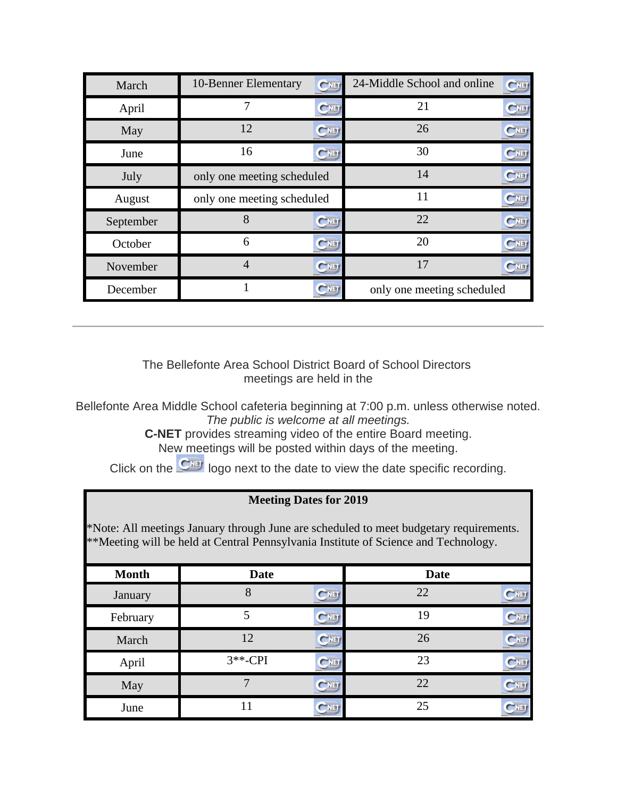| March     | 10-Benner Elementary       | CNB                   | 24-Middle School and online | $C_{\text{NH}}$ |
|-----------|----------------------------|-----------------------|-----------------------------|-----------------|
| April     | 7                          | <b>C<sub>NE</sub></b> | 21                          | $\sum$ yie      |
| May       | 12                         | CNET                  | 26                          | "N:             |
| June      | 16                         | <b>CALE</b>           | 30                          | <b>CENE</b>     |
| July      | only one meeting scheduled |                       | 14                          | TN:             |
| August    | only one meeting scheduled |                       | 11                          |                 |
| September | 8                          | $C^{N-1}$             | 22                          | - NE            |
| October   | 6                          | CNET                  | 20                          |                 |
| November  | 4                          | $C_{N+1}$             | 17                          | TNE             |
| December  |                            | <b>CANE</b>           | only one meeting scheduled  |                 |

The Bellefonte Area School District Board of School Directors meetings are held in the

Bellefonte Area Middle School cafeteria beginning at 7:00 p.m. unless otherwise noted. *The public is welcome at all meetings.*

> **C-NET** provides streaming video of the entire Board meeting. New meetings will be posted within days of the meeting.

Click on the  $\overline{\mathbf{C}^{\text{N}}}$  logo next to the date to view the date specific recording.

## **Meeting Dates for 2019**

\*Note: All meetings January through June are scheduled to meet budgetary requirements. \*\*Meeting will be held at Central Pennsylvania Institute of Science and Technology.

| <b>Month</b> | <b>Date</b> | <b>Date</b> |  |
|--------------|-------------|-------------|--|
| January      | 8           | 22          |  |
| February     |             | 19          |  |
| March        | 12          | 26          |  |
| April        | $3**$ -CPI  | 23          |  |
| May          |             | 22          |  |
| June         |             | 25          |  |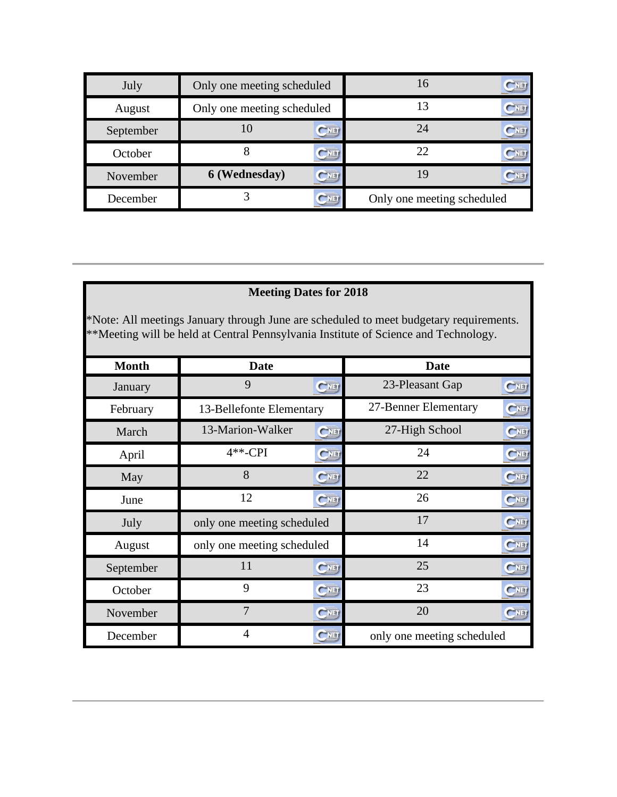| July      | Only one meeting scheduled |               |                            |  |
|-----------|----------------------------|---------------|----------------------------|--|
| August    | Only one meeting scheduled |               | 13                         |  |
| September |                            |               | 24                         |  |
| October   |                            | $\frac{1}{2}$ | 22                         |  |
| November  | 6 (Wednesday)              | <u>na</u>     |                            |  |
| December  |                            | $-117$        | Only one meeting scheduled |  |

## **Meeting Dates for 2018**

\*Note: All meetings January through June are scheduled to meet budgetary requirements. \*\*Meeting will be held at Central Pennsylvania Institute of Science and Technology.

| <b>Month</b> | <b>Date</b>                |                 | <b>Date</b>                |                  |
|--------------|----------------------------|-----------------|----------------------------|------------------|
| January      | 9                          | $C^{N+1}$       | 23-Pleasant Gap            | CNE              |
| February     | 13-Bellefonte Elementary   |                 | 27-Benner Elementary       | $C_{\text{NH}}$  |
| March        | 13-Marion-Walker           | $C^{(n)}$       | 27-High School             | $\bigcirc$ $N=1$ |
| April        | $4**$ -CPI                 | $C_{\text{NH}}$ | 24                         | $C_{\text{N-1}}$ |
| May          | 8                          | CNET            | 22                         | CNET             |
| June         | 12                         | $C^{N-1}$       | 26                         | <b>CALL</b>      |
| July         | only one meeting scheduled |                 | 17                         | CNET             |
| August       | only one meeting scheduled |                 | 14                         | CNET             |
| September    | 11                         | $C$ NET         | 25                         | CNET             |
| October      | 9                          | $C^{n+j}$       | 23                         | <b>ONET</b>      |
| November     | 7                          | $C^{N+1}$       | 20                         | <b>CANE</b>      |
| December     | 4                          | CNE             | only one meeting scheduled |                  |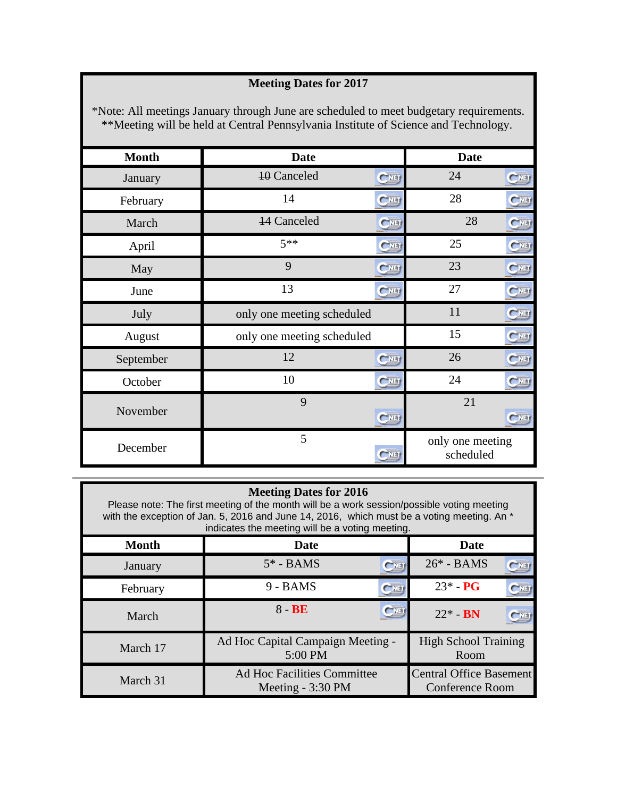## **Meeting Dates for 2017**

\*Note: All meetings January through June are scheduled to meet budgetary requirements. \*\*Meeting will be held at Central Pennsylvania Institute of Science and Technology.

| <b>Month</b> | <b>Date</b>                |           | <b>Date</b>                   |                 |
|--------------|----------------------------|-----------|-------------------------------|-----------------|
| January      | <b>40 Canceled</b>         | $C^{N-1}$ | 24                            | CNET            |
| February     | 14                         | $C^{N-1}$ | 28                            | $C^{N-1}$       |
| March        | <b>14 Canceled</b>         | CNET      | 28                            | $C_{N+1}$       |
| April        | $5**$                      | $C^{N-1}$ | 25                            | CNET            |
| May          | 9                          | $C^{n+j}$ | 23                            | $C_{\text{NH}}$ |
| June         | 13                         | $C^{N-1}$ | 27                            | CNET            |
| July         | only one meeting scheduled |           | 11                            | CNET            |
| August       | only one meeting scheduled |           | 15                            | CNET            |
| September    | 12                         | $C^{N-1}$ | 26                            | CNET            |
| October      | 10                         | $C^{N-1}$ | 24                            | CNET            |
| November     | 9                          | $C^{N-1}$ | 21                            | <b>TYLE</b>     |
| December     | 5                          |           | only one meeting<br>scheduled |                 |

## **Meeting Dates for 2016**

Please note: The first meeting of the month will be a work session/possible voting meeting with the exception of Jan. 5, 2016 and June 14, 2016, which must be a voting meeting. An \* indicates the meeting will be a voting meeting.

| <b>Month</b> | Date                                             | Date                                                     |
|--------------|--------------------------------------------------|----------------------------------------------------------|
| January      | $5*$ - BAMS<br>$C_{\rm NH}$                      | $26*$ - BAMS                                             |
| February     | 9 - BAMS<br>$C$ NET                              | $23*$ - PG                                               |
| March        | $8 - BE$<br>$C_{\text{NE}}$                      | $22^*$ - BN                                              |
| March 17     | Ad Hoc Capital Campaign Meeting -<br>5:00 PM     | <b>High School Training</b><br>Room                      |
| March 31     | Ad Hoc Facilities Committee<br>Meeting - 3:30 PM | <b>Central Office Basement</b><br><b>Conference Room</b> |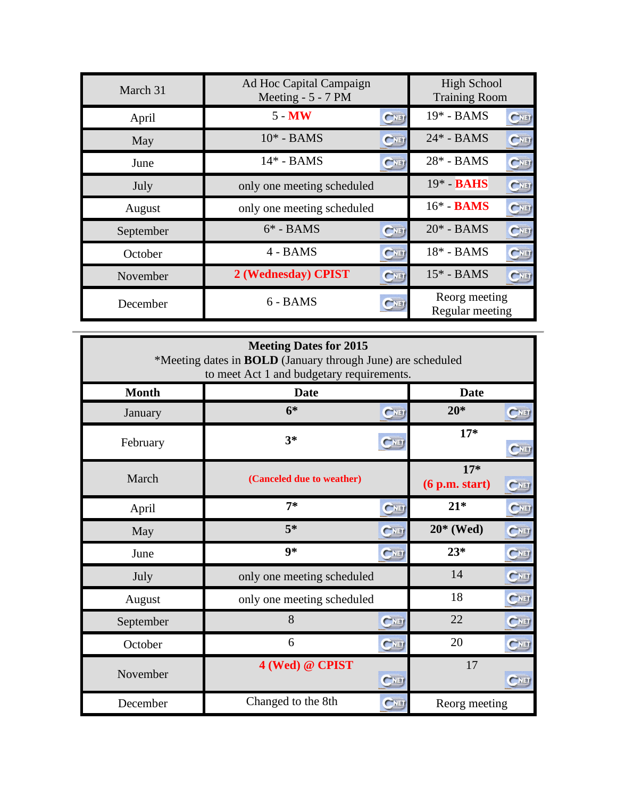| March 31  | Ad Hoc Capital Campaign<br>Meeting $-5 - 7$ PM | <b>High School</b><br><b>Training Room</b> |
|-----------|------------------------------------------------|--------------------------------------------|
| April     | $5 - MW$<br><b>C<sub>M3</sub></b>              | 19* - BAMS<br>Char                         |
| May       | $10* - BAMS$<br>$C_{\text{NE}}$                | 24* - BAMS<br>CNET                         |
| June      | 14* - BAMS<br>CNE                              | 28* - BAMS<br>CNET                         |
| July      | only one meeting scheduled                     | 19* - <b>BAHS</b><br>CNET                  |
| August    | only one meeting scheduled                     | 16* - <b>BAMS</b><br>CNET                  |
| September | $6*$ - BAMS<br>$C^{NH}$                        | $20*$ - BAMS<br>CNET                       |
| October   | 4 - BAMS<br>CNE                                | 18* - BAMS<br>$C^{N+1}$                    |
| November  | 2 (Wednesday) CPIST<br>$C^{N}$                 | 15* - BAMS<br>CNET                         |
| December  | 6 - BAMS                                       | Reorg meeting<br>Regular meeting           |

| <b>Meeting Dates for 2015</b><br>*Meeting dates in <b>BOLD</b> (January through June) are scheduled<br>to meet Act 1 and budgetary requirements. |                                        |                                        |  |  |
|--------------------------------------------------------------------------------------------------------------------------------------------------|----------------------------------------|----------------------------------------|--|--|
| <b>Month</b>                                                                                                                                     | <b>Date</b>                            | <b>Date</b>                            |  |  |
| January                                                                                                                                          | $6*$<br>$C^{n}$                        | $20*$<br><b>C</b> NE                   |  |  |
| February                                                                                                                                         | $3*$<br>$\bigcirc$ NE                  | $17*$                                  |  |  |
| March                                                                                                                                            | (Canceled due to weather)              | $17*$<br>(6 p.m. start)<br><b>CARE</b> |  |  |
| April                                                                                                                                            | $7*$<br>$C^{n+j}$                      | $21*$<br><b>CNE</b>                    |  |  |
| May                                                                                                                                              | $5*$<br>CNET                           | $20*$ (Wed)<br>CNET                    |  |  |
| June                                                                                                                                             | $9*$<br>$C^{np}$                       | $23*$<br><b>C</b> NET                  |  |  |
| July                                                                                                                                             | only one meeting scheduled             | 14<br>CNET                             |  |  |
| August                                                                                                                                           | only one meeting scheduled             | 18<br>CNET                             |  |  |
| September                                                                                                                                        | 8<br>CNET                              | 22<br><b>CALE</b>                      |  |  |
| October                                                                                                                                          | 6<br>$C^{(n)}$                         | 20<br><b>CAR</b>                       |  |  |
| November                                                                                                                                         | 4 (Wed) @ CPIST<br>CNET                | 17                                     |  |  |
| December                                                                                                                                         | Changed to the 8th<br>$C_{\text{N-1}}$ | Reorg meeting                          |  |  |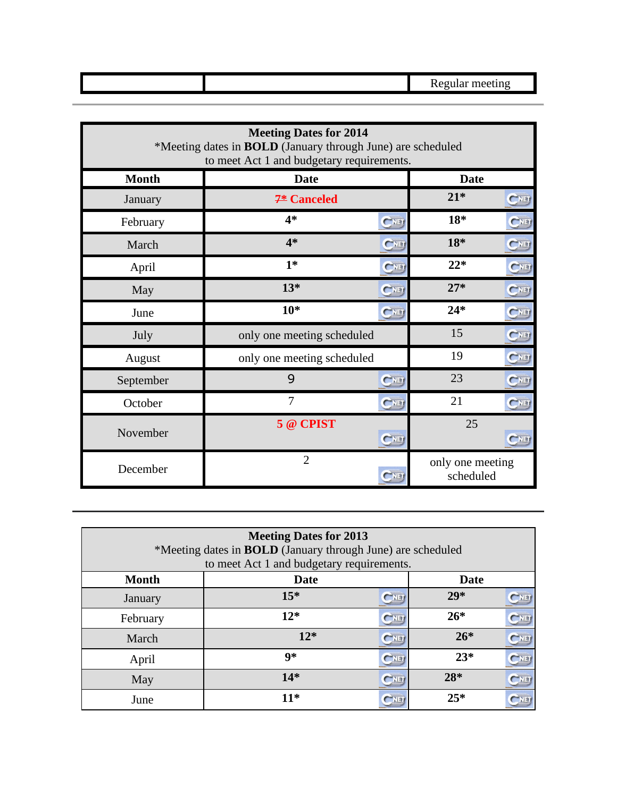| <b>Meeting Dates for 2014</b><br>*Meeting dates in <b>BOLD</b> (January through June) are scheduled<br>to meet Act 1 and budgetary requirements. |                            |             |                               |              |
|--------------------------------------------------------------------------------------------------------------------------------------------------|----------------------------|-------------|-------------------------------|--------------|
| <b>Month</b>                                                                                                                                     | <b>Date</b>                |             | <b>Date</b>                   |              |
| January                                                                                                                                          | <b>7*</b> Canceled         |             | $21*$                         | CNET         |
| February                                                                                                                                         | $4*$                       | CNE         | $18*$                         | CNET         |
| March                                                                                                                                            | $4*$                       | CNET        | $18*$                         | <b>CARE</b>  |
| April                                                                                                                                            | $1*$                       | $C^{N=1}$   | $22*$                         | $C^{N-1}$    |
| May                                                                                                                                              | $13*$                      | $C^{N-1}$   | $27*$                         | CNET         |
| June                                                                                                                                             | $10*$                      | $C^{N-1}$   | $24*$                         | <b>CENE</b>  |
| July                                                                                                                                             | only one meeting scheduled |             | 15                            | <b>C</b> NET |
| August                                                                                                                                           | only one meeting scheduled |             | 19                            | <b>CALL</b>  |
| September                                                                                                                                        | 9                          | $C$ NET     | 23                            | CNET         |
| October                                                                                                                                          | 7                          | $C^{n+j}$   | 21                            | CNET         |
| November                                                                                                                                         | 5 @ CPIST                  | $C^{(n)}$   | 25                            | <b>CALL</b>  |
| December                                                                                                                                         | $\overline{2}$             | <b>CENE</b> | only one meeting<br>scheduled |              |

| <b>Meeting Dates for 2013</b><br>*Meeting dates in <b>BOLD</b> (January through June) are scheduled |                                                          |              |  |  |
|-----------------------------------------------------------------------------------------------------|----------------------------------------------------------|--------------|--|--|
| <b>Month</b>                                                                                        | to meet Act 1 and budgetary requirements.<br><b>Date</b> | <b>Date</b>  |  |  |
| January                                                                                             | $15*$<br><b>CANE</b>                                     | $29*$<br>"NE |  |  |
| February                                                                                            | $12*$<br><b>TIME</b>                                     | $26*$        |  |  |
| March                                                                                               | $12*$<br><b>CALLE</b>                                    | $26*$        |  |  |
| April                                                                                               | $9*$                                                     | $23*$        |  |  |
| May                                                                                                 | $14*$                                                    | $28*$        |  |  |
| June                                                                                                | $11*$                                                    | $25*$        |  |  |